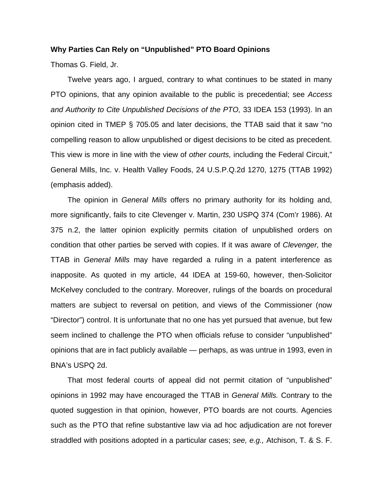## **Why Parties Can Rely on "Unpublished" PTO Board Opinions**

Thomas G. Field, Jr.

 Twelve years ago, I argued, contrary to what continues to be stated in many PTO opinions, that any opinion available to the public is precedential; see *Access and Authority to Cite Unpublished Decisions of the PTO,* 33 IDEA 153 (1993). In an opinion cited in TMEP § 705.05 and later decisions, the TTAB said that it saw "no compelling reason to allow unpublished or digest decisions to be cited as precedent. This view is more in line with the view of *other courts,* including the Federal Circuit," General Mills, Inc. v. Health Valley Foods, 24 U.S.P.Q.2d 1270, 1275 (TTAB 1992) (emphasis added).

 The opinion in *General Mills* offers no primary authority for its holding and, more significantly, fails to cite Clevenger v. Martin, 230 USPQ 374 (Com'r 1986). At 375 n.2, the latter opinion explicitly permits citation of unpublished orders on condition that other parties be served with copies. If it was aware of *Clevenger,* the TTAB in *General Mills* may have regarded a ruling in a patent interference as inapposite. As quoted in my article, 44 IDEA at 159-60, however, then-Solicitor McKelvey concluded to the contrary. Moreover, rulings of the boards on procedural matters are subject to reversal on petition, and views of the Commissioner (now "Director") control. It is unfortunate that no one has yet pursued that avenue, but few seem inclined to challenge the PTO when officials refuse to consider "unpublished" opinions that are in fact publicly available — perhaps, as was untrue in 1993, even in BNA's USPQ 2d.

 That most federal courts of appeal did not permit citation of "unpublished" opinions in 1992 may have encouraged the TTAB in *General Mills.* Contrary to the quoted suggestion in that opinion, however, PTO boards are not courts. Agencies such as the PTO that refine substantive law via ad hoc adjudication are not forever straddled with positions adopted in a particular cases; *see, e.g.,* Atchison, T. & S. F.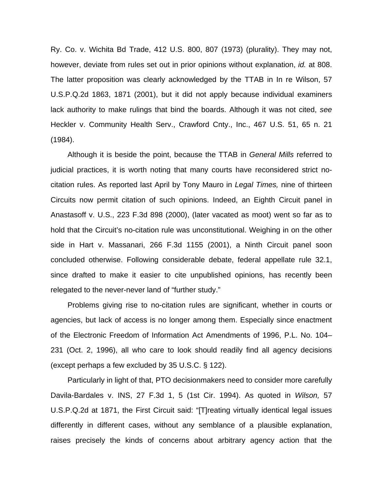Ry. Co. v. Wichita Bd Trade, 412 U.S. 800, 807 (1973) (plurality). They may not, however, deviate from rules set out in prior opinions without explanation, *id.* at 808. The latter proposition was clearly acknowledged by the TTAB in In re Wilson, 57 U.S.P.Q.2d 1863, 1871 (2001), but it did not apply because individual examiners lack authority to make rulings that bind the boards. Although it was not cited, *see* Heckler v. Community Health Serv., Crawford Cnty., Inc., 467 U.S. 51, 65 n. 21 (1984).

 Although it is beside the point, because the TTAB in *General Mills* referred to judicial practices, it is worth noting that many courts have reconsidered strict nocitation rules. As reported last April by Tony Mauro in *Legal Times,* nine of thirteen Circuits now permit citation of such opinions. Indeed, an Eighth Circuit panel in Anastasoff v. U.S., 223 F.3d 898 (2000), (later vacated as moot) went so far as to hold that the Circuit's no-citation rule was unconstitutional. Weighing in on the other side in Hart v. Massanari, 266 F.3d 1155 (2001), a Ninth Circuit panel soon concluded otherwise. Following considerable debate, federal appellate rule 32.1, since drafted to make it easier to cite unpublished opinions, has recently been relegated to the never-never land of "further study."

 Problems giving rise to no-citation rules are significant, whether in courts or agencies, but lack of access is no longer among them. Especially since enactment of the Electronic Freedom of Information Act Amendments of 1996, P.L. No. 104– 231 (Oct. 2, 1996), all who care to look should readily find all agency decisions (except perhaps a few excluded by 35 U.S.C. § 122).

 Particularly in light of that, PTO decisionmakers need to consider more carefully Davila-Bardales v. INS, 27 F.3d 1, 5 (1st Cir. 1994). As quoted in *Wilson,* 57 U.S.P.Q.2d at 1871, the First Circuit said: "[T]reating virtually identical legal issues differently in different cases, without any semblance of a plausible explanation, raises precisely the kinds of concerns about arbitrary agency action that the